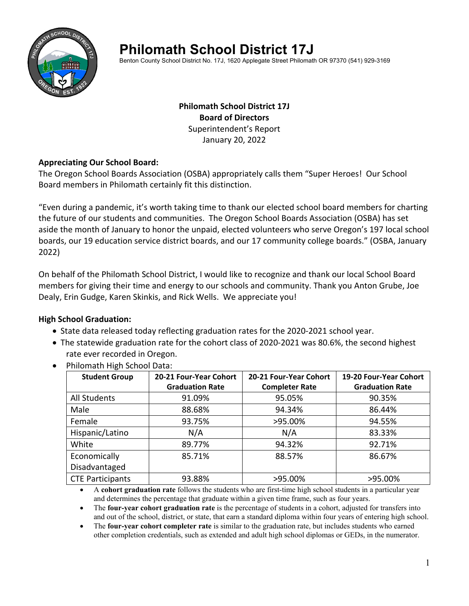

# **Philomath School District 17J**

Benton County School District No. 17J, 1620 Applegate Street Philomath OR 97370 (541) 929-3169

## **Philomath School District 17J Board of Directors** Superintendent's Report January 20, 2022

## **Appreciating Our School Board:**

The Oregon School Boards Association (OSBA) appropriately calls them "Super Heroes! Our School Board members in Philomath certainly fit this distinction.

"Even during a pandemic, it's worth taking time to thank our elected school board members for charting the future of our students and communities. The Oregon School Boards Association (OSBA) has set aside the month of January to honor the unpaid, elected volunteers who serve Oregon's 197 local school boards, our 19 education service district boards, and our 17 community college boards." (OSBA, January 2022)

On behalf of the Philomath School District, I would like to recognize and thank our local School Board members for giving their time and energy to our schools and community. Thank you Anton Grube, Joe Dealy, Erin Gudge, Karen Skinkis, and Rick Wells. We appreciate you!

## **High School Graduation:**

- State data released today reflecting graduation rates for the 2020-2021 school year.
- The statewide graduation rate for the cohort class of 2020-2021 was 80.6%, the second highest rate ever recorded in Oregon.

| <b>Student Group</b>    | 20-21 Four-Year Cohort | 20-21 Four-Year Cohort | 19-20 Four-Year Cohort |
|-------------------------|------------------------|------------------------|------------------------|
|                         | <b>Graduation Rate</b> | <b>Completer Rate</b>  | <b>Graduation Rate</b> |
| All Students            | 91.09%                 | 95.05%                 | 90.35%                 |
| Male                    | 88.68%                 | 94.34%                 | 86.44%                 |
| Female                  | 93.75%                 | >95.00%                | 94.55%                 |
| Hispanic/Latino         | N/A                    | N/A                    | 83.33%                 |
| White                   | 89.77%                 | 94.32%                 | 92.71%                 |
| Economically            | 85.71%                 | 88.57%                 | 86.67%                 |
| Disadvantaged           |                        |                        |                        |
| <b>CTE Participants</b> | 93.88%                 | >95.00%                | >95.00%                |

• Philomath High School Data:

 A **cohort graduation rate** follows the students who are first-time high school students in a particular year and determines the percentage that graduate within a given time frame, such as four years.

 The **four-year cohort graduation rate** is the percentage of students in a cohort, adjusted for transfers into and out of the school, district, or state, that earn a standard diploma within four years of entering high school.

 The **four-year cohort completer rate** is similar to the graduation rate, but includes students who earned other completion credentials, such as extended and adult high school diplomas or GEDs, in the numerator.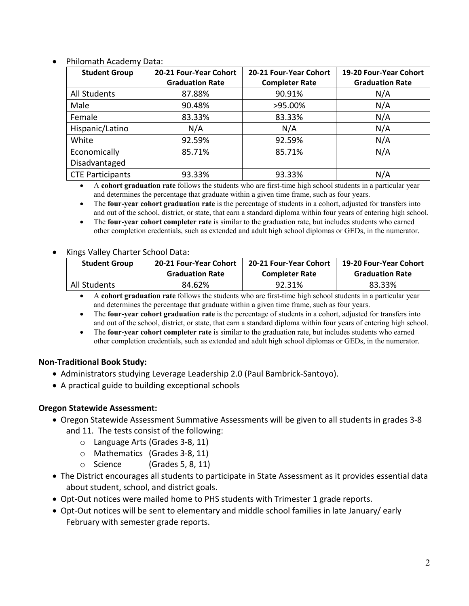| <b>Student Group</b>    | 20-21 Four-Year Cohort<br><b>Graduation Rate</b> | 20-21 Four-Year Cohort<br><b>Completer Rate</b> | 19-20 Four-Year Cohort<br><b>Graduation Rate</b> |
|-------------------------|--------------------------------------------------|-------------------------------------------------|--------------------------------------------------|
| <b>All Students</b>     | 87.88%                                           | 90.91%                                          | N/A                                              |
| Male                    | 90.48%                                           | >95.00%                                         | N/A                                              |
| Female                  | 83.33%                                           | 83.33%                                          | N/A                                              |
| Hispanic/Latino         | N/A                                              | N/A                                             | N/A                                              |
| White                   | 92.59%                                           | 92.59%                                          | N/A                                              |
| Economically            | 85.71%                                           | 85.71%                                          | N/A                                              |
| Disadvantaged           |                                                  |                                                 |                                                  |
| <b>CTE Participants</b> | 93.33%                                           | 93.33%                                          | N/A                                              |

Philomath Academy Data:

 A **cohort graduation rate** follows the students who are first-time high school students in a particular year and determines the percentage that graduate within a given time frame, such as four years.

 The **four-year cohort graduation rate** is the percentage of students in a cohort, adjusted for transfers into and out of the school, district, or state, that earn a standard diploma within four years of entering high school.

 The **four-year cohort completer rate** is similar to the graduation rate, but includes students who earned other completion credentials, such as extended and adult high school diplomas or GEDs, in the numerator.

#### Kings Valley Charter School Data:

| <b>Student Group</b> | 20-21 Four-Year Cohort | <b>20-21 Four-Year Cohort</b> | 19-20 Four-Year Cohort |
|----------------------|------------------------|-------------------------------|------------------------|
|                      | <b>Graduation Rate</b> | <b>Completer Rate</b>         | <b>Graduation Rate</b> |
| All Students         | 84.62%                 | 92.31%                        | 83.33%                 |

 A **cohort graduation rate** follows the students who are first-time high school students in a particular year and determines the percentage that graduate within a given time frame, such as four years.

- The **four-year cohort graduation rate** is the percentage of students in a cohort, adjusted for transfers into and out of the school, district, or state, that earn a standard diploma within four years of entering high school.
- The **four-year cohort completer rate** is similar to the graduation rate, but includes students who earned other completion credentials, such as extended and adult high school diplomas or GEDs, in the numerator.

#### **Non‐Traditional Book Study:**

- Administrators studying Leverage Leadership 2.0 (Paul Bambrick‐Santoyo).
- A practical guide to building exceptional schools

#### **Oregon Statewide Assessment:**

- Oregon Statewide Assessment Summative Assessments will be given to all students in grades 3‐8 and 11. The tests consist of the following:
	- o Language Arts (Grades 3‐8, 11)
	- o Mathematics (Grades 3‐8, 11)
	- $\circ$  Science (Grades 5, 8, 11)
- The District encourages all students to participate in State Assessment as it provides essential data about student, school, and district goals.
- Opt-Out notices were mailed home to PHS students with Trimester 1 grade reports.
- Opt-Out notices will be sent to elementary and middle school families in late January/ early February with semester grade reports.